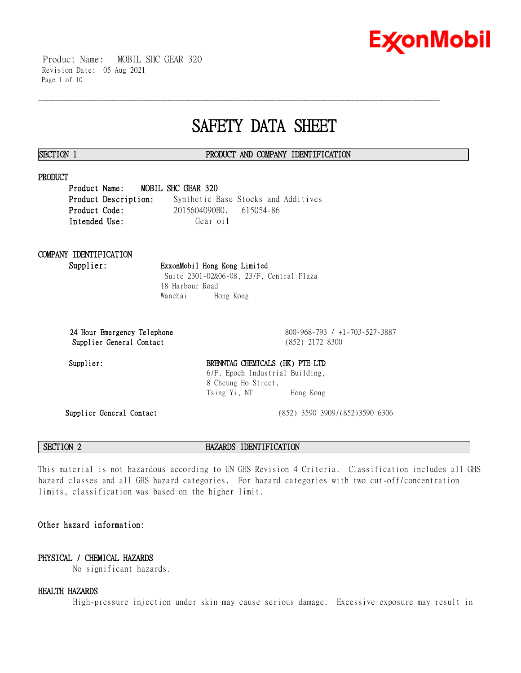

 Product Name: MOBIL SHC GEAR 320 Revision Date: 05 Aug 2021 Page 1 of 10

# **SAFETY DATA SHEET**

\_\_\_\_\_\_\_\_\_\_\_\_\_\_\_\_\_\_\_\_\_\_\_\_\_\_\_\_\_\_\_\_\_\_\_\_\_\_\_\_\_\_\_\_\_\_\_\_\_\_\_\_\_\_\_\_\_\_\_\_\_\_\_\_\_\_\_\_\_\_\_\_\_\_\_\_\_\_\_\_\_\_\_\_\_\_\_\_\_\_\_\_\_\_\_\_\_\_\_\_\_\_\_\_\_\_\_\_\_\_\_\_\_\_\_\_\_\_

### **SECTION 1 PRODUCT AND COMPANY IDENTIFICATION**

### **PRODUCT**

**Product Name: MOBIL SHC GEAR 320 Product Description:** Synthetic Base Stocks and Additives **Product Code:** 2015604090B0, 615054-86 Intended Use: Gear oil

Wanchai Hong Kong

# **COMPANY IDENTIFICATION**

# **Supplier: ExxonMobil Hong Kong Limited** Suite 2301-02&06-08, 23/F, Central Plaza 18 Harbour Road

**24 Hour Emergency Telephone** 800-968-793 / +1-703-527-3887 **Supplier General Contact** (852) 2172 8300

# Supplier: BRENNTAG CHEMICALS (HK) PTE LTD 6/F, Epoch Industrial Building, 8 Cheung Ho Street, Tsing Yi, NT Hong Kong

**Supplier General Contact** (852) 3590 3909/(852)3590 6306

**SECTION 2 HAZARDS IDENTIFICATION**

This material is not hazardous according to UN GHS Revision 4 Criteria. Classification includes all GHS hazard classes and all GHS hazard categories. For hazard categories with two cut-off/concentration limits, classification was based on the higher limit.

# **Other hazard information:**

# **PHYSICAL / CHEMICAL HAZARDS**

No significant hazards.

### **HEALTH HAZARDS**

High-pressure injection under skin may cause serious damage. Excessive exposure may result in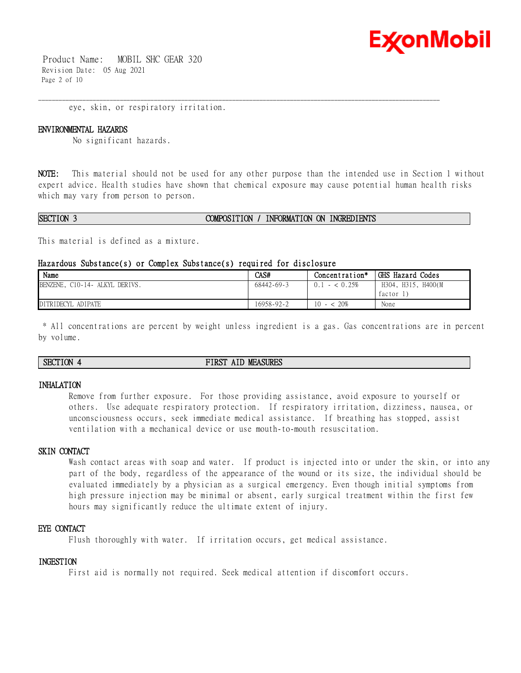

 Product Name: MOBIL SHC GEAR 320 Revision Date: 05 Aug 2021 Page 2 of 10

eye, skin, or respiratory irritation.

#### **ENVIRONMENTAL HAZARDS**

No significant hazards.

**NOTE:** This material should not be used for any other purpose than the intended use in Section 1 without expert advice. Health studies have shown that chemical exposure may cause potential human health risks which may vary from person to person.

\_\_\_\_\_\_\_\_\_\_\_\_\_\_\_\_\_\_\_\_\_\_\_\_\_\_\_\_\_\_\_\_\_\_\_\_\_\_\_\_\_\_\_\_\_\_\_\_\_\_\_\_\_\_\_\_\_\_\_\_\_\_\_\_\_\_\_\_\_\_\_\_\_\_\_\_\_\_\_\_\_\_\_\_\_\_\_\_\_\_\_\_\_\_\_\_\_\_\_\_\_\_\_\_\_\_\_\_\_\_\_\_\_\_\_\_\_\_

#### **SECTION 3 COMPOSITION / INFORMATION ON INGREDIENTS**

This material is defined as a mixture.

#### **Hazardous Substance(s) or Complex Substance(s) required for disclosure**

| Name                           | CAS#             | Concentration*        | GHS Hazard Codes               |
|--------------------------------|------------------|-----------------------|--------------------------------|
| BENZENE, C10-14- ALKYL DERIVS. | $68442 - 69 - 3$ | $-$ < 0.25%<br>(0, 1) | H304, H315, H400(M<br>factor 1 |
| DITRIDECYL ADIPATE             | 16958-92-2       | 20%<br>10<br>$-<$     | None                           |

\* All concentrations are percent by weight unless ingredient is a gas. Gas concentrations are in percent by volume.

### **SECTION 4 FIRST AID MEASURES**

#### **INHALATION**

Remove from further exposure. For those providing assistance, avoid exposure to yourself or others. Use adequate respiratory protection. If respiratory irritation, dizziness, nausea, or unconsciousness occurs, seek immediate medical assistance. If breathing has stopped, assist ventilation with a mechanical device or use mouth-to-mouth resuscitation.

# **SKIN CONTACT**

Wash contact areas with soap and water. If product is injected into or under the skin, or into any part of the body, regardless of the appearance of the wound or its size, the individual should be evaluated immediately by a physician as a surgical emergency. Even though initial symptoms from high pressure injection may be minimal or absent, early surgical treatment within the first few hours may significantly reduce the ultimate extent of injury.

### **EYE CONTACT**

Flush thoroughly with water. If irritation occurs, get medical assistance.

#### **INGESTION**

First aid is normally not required. Seek medical attention if discomfort occurs.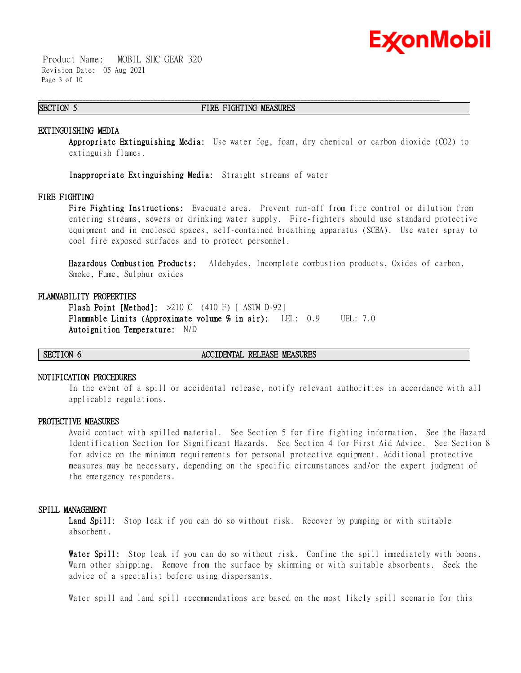

 Product Name: MOBIL SHC GEAR 320 Revision Date: 05 Aug 2021 Page 3 of 10

### **SECTION 5 FIRE FIGHTING MEASURES**

\_\_\_\_\_\_\_\_\_\_\_\_\_\_\_\_\_\_\_\_\_\_\_\_\_\_\_\_\_\_\_\_\_\_\_\_\_\_\_\_\_\_\_\_\_\_\_\_\_\_\_\_\_\_\_\_\_\_\_\_\_\_\_\_\_\_\_\_\_\_\_\_\_\_\_\_\_\_\_\_\_\_\_\_\_\_\_\_\_\_\_\_\_\_\_\_\_\_\_\_\_\_\_\_\_\_\_\_\_\_\_\_\_\_\_\_\_\_

#### **EXTINGUISHING MEDIA**

**Appropriate Extinguishing Media:** Use water fog, foam, dry chemical or carbon dioxide (CO2) to extinguish flames.

**Inappropriate Extinguishing Media:** Straight streams of water

### **FIRE FIGHTING**

**Fire Fighting Instructions:** Evacuate area. Prevent run-off from fire control or dilution from entering streams, sewers or drinking water supply. Fire-fighters should use standard protective equipment and in enclosed spaces, self-contained breathing apparatus (SCBA). Use water spray to cool fire exposed surfaces and to protect personnel.

**Hazardous Combustion Products:** Aldehydes, Incomplete combustion products, Oxides of carbon, Smoke, Fume, Sulphur oxides

#### **FLAMMABILITY PROPERTIES**

**Flash Point [Method]:** >210 C (410 F) [ ASTM D-92] **Flammable Limits (Approximate volume % in air):** LEL: 0.9 UEL: 7.0 **Autoignition Temperature:** N/D

#### **SECTION 6 ACCIDENTAL RELEASE MEASURES**

#### **NOTIFICATION PROCEDURES**

In the event of a spill or accidental release, notify relevant authorities in accordance with all applicable regulations.

#### **PROTECTIVE MEASURES**

Avoid contact with spilled material. See Section 5 for fire fighting information. See the Hazard Identification Section for Significant Hazards. See Section 4 for First Aid Advice. See Section 8 for advice on the minimum requirements for personal protective equipment. Additional protective measures may be necessary, depending on the specific circumstances and/or the expert judgment of the emergency responders.

#### **SPILL MANAGEMENT**

Land Spill: Stop leak if you can do so without risk. Recover by pumping or with suitable absorbent.

**Water Spill:** Stop leak if you can do so without risk. Confine the spill immediately with booms. Warn other shipping. Remove from the surface by skimming or with suitable absorbents. Seek the advice of a specialist before using dispersants.

Water spill and land spill recommendations are based on the most likely spill scenario for this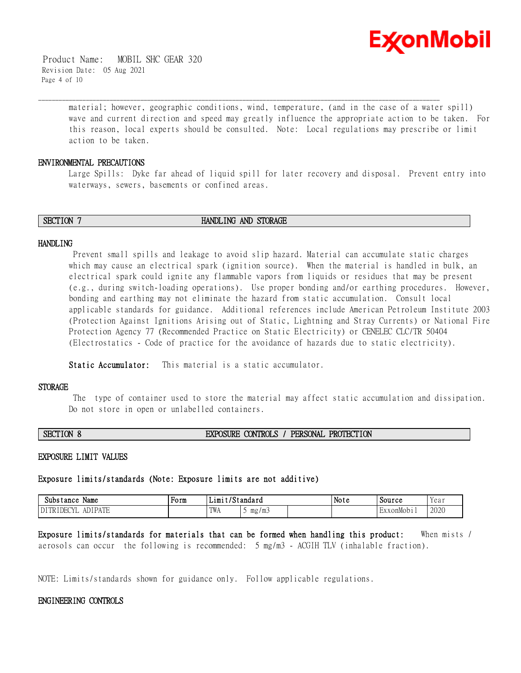

 Product Name: MOBIL SHC GEAR 320 Revision Date: 05 Aug 2021 Page 4 of 10

> material; however, geographic conditions, wind, temperature, (and in the case of a water spill) wave and current direction and speed may greatly influence the appropriate action to be taken. For this reason, local experts should be consulted. Note: Local regulations may prescribe or limit action to be taken.

### **ENVIRONMENTAL PRECAUTIONS**

Large Spills: Dyke far ahead of liquid spill for later recovery and disposal. Prevent entry into waterways, sewers, basements or confined areas.

**SECTION 7 HANDLING AND STORAGE** 

\_\_\_\_\_\_\_\_\_\_\_\_\_\_\_\_\_\_\_\_\_\_\_\_\_\_\_\_\_\_\_\_\_\_\_\_\_\_\_\_\_\_\_\_\_\_\_\_\_\_\_\_\_\_\_\_\_\_\_\_\_\_\_\_\_\_\_\_\_\_\_\_\_\_\_\_\_\_\_\_\_\_\_\_\_\_\_\_\_\_\_\_\_\_\_\_\_\_\_\_\_\_\_\_\_\_\_\_\_\_\_\_\_\_\_\_\_\_

#### **HANDLING**

Prevent small spills and leakage to avoid slip hazard. Material can accumulate static charges which may cause an electrical spark (ignition source). When the material is handled in bulk, an electrical spark could ignite any flammable vapors from liquids or residues that may be present (e.g., during switch-loading operations). Use proper bonding and/or earthing procedures. However, bonding and earthing may not eliminate the hazard from static accumulation. Consult local applicable standards for guidance. Additional references include American Petroleum Institute 2003 (Protection Against Ignitions Arising out of Static, Lightning and Stray Currents) or National Fire Protection Agency 77 (Recommended Practice on Static Electricity) or CENELEC CLC/TR 50404 (Electrostatics - Code of practice for the avoidance of hazards due to static electricity).

**Static Accumulator:** This material is a static accumulator.

#### **STORAGE**

The type of container used to store the material may affect static accumulation and dissipation. Do not store in open or unlabelled containers.

# **SECTION 8 EXPOSURE CONTROLS / PERSONAL PROTECTION**

#### **EXPOSURE LIMIT VALUES**

# **Exposure limits/standards (Note: Exposure limits are not additive)**

| Name<br>Substance                            | Form | . .<br>. ட1m+ | standard' | . .<br>Note | Source  | Yeai |
|----------------------------------------------|------|---------------|-----------|-------------|---------|------|
| <b>IDI DATE</b><br>$\bigcap$<br>DEC<br>n i L |      | TWA           | mg/mj     |             | xonMobi | 2020 |

**Exposure limits/standards for materials that can be formed when handling this product:** When mists / aerosols can occur the following is recommended: 5 mg/m3 - ACGIH TLV (inhalable fraction).

NOTE: Limits/standards shown for guidance only. Follow applicable regulations.

### **ENGINEERING CONTROLS**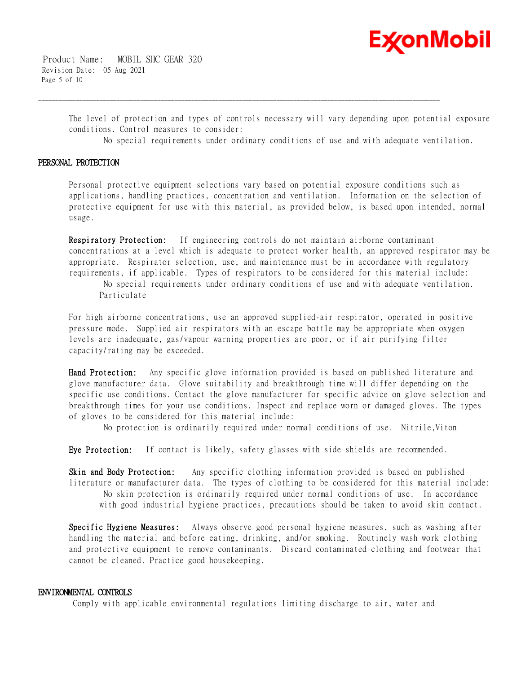

 Product Name: MOBIL SHC GEAR 320 Revision Date: 05 Aug 2021 Page 5 of 10

> The level of protection and types of controls necessary will vary depending upon potential exposure conditions. Control measures to consider:

\_\_\_\_\_\_\_\_\_\_\_\_\_\_\_\_\_\_\_\_\_\_\_\_\_\_\_\_\_\_\_\_\_\_\_\_\_\_\_\_\_\_\_\_\_\_\_\_\_\_\_\_\_\_\_\_\_\_\_\_\_\_\_\_\_\_\_\_\_\_\_\_\_\_\_\_\_\_\_\_\_\_\_\_\_\_\_\_\_\_\_\_\_\_\_\_\_\_\_\_\_\_\_\_\_\_\_\_\_\_\_\_\_\_\_\_\_\_

No special requirements under ordinary conditions of use and with adequate ventilation.

#### **PERSONAL PROTECTION**

Personal protective equipment selections vary based on potential exposure conditions such as applications, handling practices, concentration and ventilation. Information on the selection of protective equipment for use with this material, as provided below, is based upon intended, normal usage.

**Respiratory Protection:** If engineering controls do not maintain airborne contaminant concentrations at a level which is adequate to protect worker health, an approved respirator may be appropriate. Respirator selection, use, and maintenance must be in accordance with regulatory requirements, if applicable. Types of respirators to be considered for this material include:

No special requirements under ordinary conditions of use and with adequate ventilation. Particulate

For high airborne concentrations, use an approved supplied-air respirator, operated in positive pressure mode. Supplied air respirators with an escape bottle may be appropriate when oxygen levels are inadequate, gas/vapour warning properties are poor, or if air purifying filter capacity/rating may be exceeded.

**Hand Protection:** Any specific glove information provided is based on published literature and glove manufacturer data. Glove suitability and breakthrough time will differ depending on the specific use conditions. Contact the glove manufacturer for specific advice on glove selection and breakthrough times for your use conditions. Inspect and replace worn or damaged gloves. The types of gloves to be considered for this material include:

No protection is ordinarily required under normal conditions of use. Nitrile,Viton

**Eye Protection:** If contact is likely, safety glasses with side shields are recommended.

**Skin and Body Protection:** Any specific clothing information provided is based on published literature or manufacturer data. The types of clothing to be considered for this material include: No skin protection is ordinarily required under normal conditions of use. In accordance with good industrial hygiene practices, precautions should be taken to avoid skin contact.

**Specific Hygiene Measures:** Always observe good personal hygiene measures, such as washing after handling the material and before eating, drinking, and/or smoking. Routinely wash work clothing and protective equipment to remove contaminants. Discard contaminated clothing and footwear that cannot be cleaned. Practice good housekeeping.

### **ENVIRONMENTAL CONTROLS**

Comply with applicable environmental regulations limiting discharge to air, water and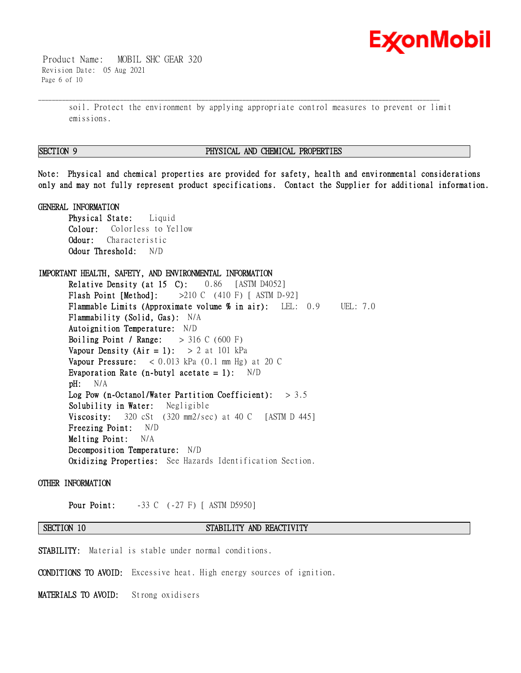

 Product Name: MOBIL SHC GEAR 320 Revision Date: 05 Aug 2021 Page 6 of 10

> soil. Protect the environment by applying appropriate control measures to prevent or limit emissions.

\_\_\_\_\_\_\_\_\_\_\_\_\_\_\_\_\_\_\_\_\_\_\_\_\_\_\_\_\_\_\_\_\_\_\_\_\_\_\_\_\_\_\_\_\_\_\_\_\_\_\_\_\_\_\_\_\_\_\_\_\_\_\_\_\_\_\_\_\_\_\_\_\_\_\_\_\_\_\_\_\_\_\_\_\_\_\_\_\_\_\_\_\_\_\_\_\_\_\_\_\_\_\_\_\_\_\_\_\_\_\_\_\_\_\_\_\_\_

### **SECTION 9 PHYSICAL AND CHEMICAL PROPERTIES**

**Note: Physical and chemical properties are provided for safety, health and environmental considerations only and may not fully represent product specifications. Contact the Supplier for additional information.**

### **GENERAL INFORMATION**

**Physical State:** Liquid **Colour:** Colorless to Yellow **Odour:** Characteristic **Odour Threshold:** N/D

# **IMPORTANT HEALTH, SAFETY, AND ENVIRONMENTAL INFORMATION**

**Relative Density (at 15 C):** 0.86 [ASTM D4052] **Flash Point [Method]:** >210 C (410 F) [ ASTM D-92] **Flammable Limits (Approximate volume % in air):** LEL: 0.9 UEL: 7.0 **Flammability (Solid, Gas):** N/A **Autoignition Temperature:** N/D **Boiling Point / Range:** > 316 C (600 F) **Vapour Density (Air = 1):**  $> 2$  at 101 kPa **Vapour Pressure:** < 0.013 kPa (0.1 mm Hg) at 20 C **Evaporation Rate (n-butyl acetate = 1):** N/D **pH:** N/A **Log Pow (n-Octanol/Water Partition Coefficient):** > 3.5 **Solubility in Water:** Negligible **Viscosity:** 320 cSt (320 mm2/sec) at 40 C [ASTM D 445] **Freezing Point:** N/D **Melting Point:** N/A **Decomposition Temperature:** N/D **Oxidizing Properties:** See Hazards Identification Section.

### **OTHER INFORMATION**

**Pour Point:**  $-33 \text{ C}$  (-27 F) [ ASTM D5950]

# **SECTION 10 STABILITY AND REACTIVITY**

**STABILITY:** Material is stable under normal conditions.

**CONDITIONS TO AVOID:** Excessive heat. High energy sources of ignition.

**MATERIALS TO AVOID:** Strong oxidisers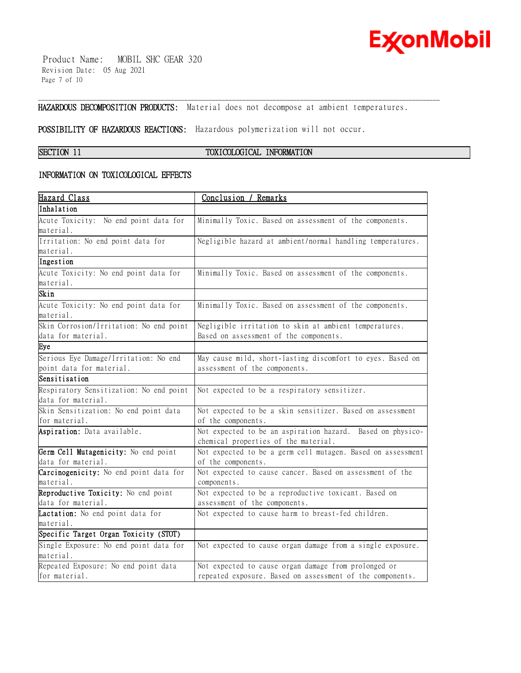

 Product Name: MOBIL SHC GEAR 320 Revision Date: 05 Aug 2021 Page 7 of 10

**HAZARDOUS DECOMPOSITION PRODUCTS:** Material does not decompose at ambient temperatures.

\_\_\_\_\_\_\_\_\_\_\_\_\_\_\_\_\_\_\_\_\_\_\_\_\_\_\_\_\_\_\_\_\_\_\_\_\_\_\_\_\_\_\_\_\_\_\_\_\_\_\_\_\_\_\_\_\_\_\_\_\_\_\_\_\_\_\_\_\_\_\_\_\_\_\_\_\_\_\_\_\_\_\_\_\_\_\_\_\_\_\_\_\_\_\_\_\_\_\_\_\_\_\_\_\_\_\_\_\_\_\_\_\_\_\_\_\_\_

**POSSIBILITY OF HAZARDOUS REACTIONS:** Hazardous polymerization will not occur.

# **SECTION 11 TOXICOLOGICAL INFORMATION**

# **INFORMATION ON TOXICOLOGICAL EFFECTS**

| <u>Hazard Class</u>                     | Conclusion / Remarks                                        |
|-----------------------------------------|-------------------------------------------------------------|
| Inhalation                              |                                                             |
| Acute Toxicity: No end point data for   | Minimally Toxic. Based on assessment of the components.     |
| material.                               |                                                             |
| Irritation: No end point data for       | Negligible hazard at ambient/normal handling temperatures.  |
| material.                               |                                                             |
| Ingestion                               |                                                             |
| Acute Toxicity: No end point data for   | Minimally Toxic. Based on assessment of the components.     |
| material.                               |                                                             |
| Skin                                    |                                                             |
| Acute Toxicity: No end point data for   | Minimally Toxic. Based on assessment of the components.     |
| material.                               |                                                             |
| Skin Corrosion/Irritation: No end point | Negligible irritation to skin at ambient temperatures.      |
| data for material.                      | Based on assessment of the components.                      |
| Eye                                     |                                                             |
| Serious Eye Damage/Irritation: No end   | May cause mild, short-lasting discomfort to eyes. Based on  |
| point data for material.                | assessment of the components.                               |
| Sensitisation                           |                                                             |
| Respiratory Sensitization: No end point | Not expected to be a respiratory sensitizer.                |
| data for material.                      |                                                             |
| Skin Sensitization: No end point data   | Not expected to be a skin sensitizer. Based on assessment   |
| for material.                           | of the components.                                          |
| Aspiration: Data available.             | Not expected to be an aspiration hazard. Based on physico-  |
|                                         | chemical properties of the material.                        |
| Germ Cell Mutagenicity: No end point    | Not expected to be a germ cell mutagen. Based on assessment |
| data for material.                      | of the components.                                          |
| Carcinogenicity: No end point data for  | Not expected to cause cancer. Based on assessment of the    |
| material.                               | components.                                                 |
| Reproductive Toxicity: No end point     | Not expected to be a reproductive toxicant. Based on        |
| data for material.                      | assessment of the components.                               |
| Lactation: No end point data for        | Not expected to cause harm to breast-fed children.          |
| material.                               |                                                             |
| Specific Target Organ Toxicity (STOT)   |                                                             |
| Single Exposure: No end point data for  | Not expected to cause organ damage from a single exposure.  |
| material.                               |                                                             |
| Repeated Exposure: No end point data    | Not expected to cause organ damage from prolonged or        |
| for material.                           | repeated exposure. Based on assessment of the components.   |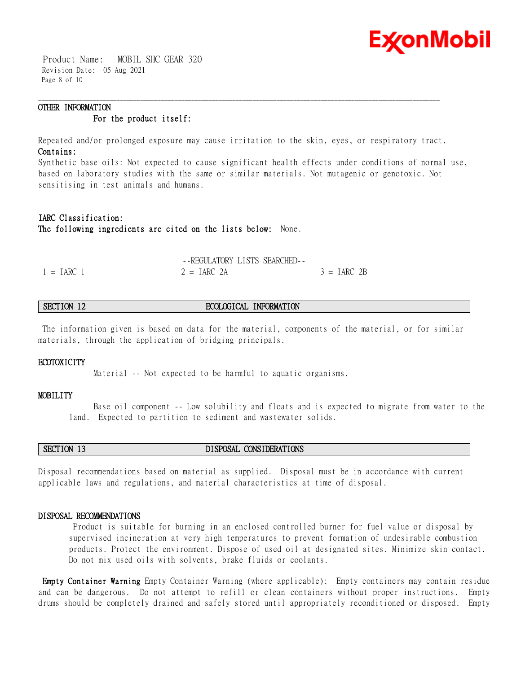

 Product Name: MOBIL SHC GEAR 320 Revision Date: 05 Aug 2021 Page 8 of 10

# **OTHER INFORMATION For the product itself:**

Repeated and/or prolonged exposure may cause irritation to the skin, eyes, or respiratory tract. **Contains:**

\_\_\_\_\_\_\_\_\_\_\_\_\_\_\_\_\_\_\_\_\_\_\_\_\_\_\_\_\_\_\_\_\_\_\_\_\_\_\_\_\_\_\_\_\_\_\_\_\_\_\_\_\_\_\_\_\_\_\_\_\_\_\_\_\_\_\_\_\_\_\_\_\_\_\_\_\_\_\_\_\_\_\_\_\_\_\_\_\_\_\_\_\_\_\_\_\_\_\_\_\_\_\_\_\_\_\_\_\_\_\_\_\_\_\_\_\_\_

Synthetic base oils: Not expected to cause significant health effects under conditions of normal use, based on laboratory studies with the same or similar materials. Not mutagenic or genotoxic. Not sensitising in test animals and humans.

# **IARC Classification: The following ingredients are cited on the lists below:** None.

|              | --REGULATORY LISTS SEARCHED-- |               |
|--------------|-------------------------------|---------------|
| $1 = IARC 1$ | $2 = IARC$ 2A                 | $3 = IARC 2B$ |

# **SECTION 12 ECOLOGICAL INFORMATION**

The information given is based on data for the material, components of the material, or for similar materials, through the application of bridging principals.

#### **ECOTOXICITY**

Material -- Not expected to be harmful to aquatic organisms.

#### **MOBILITY**

 Base oil component -- Low solubility and floats and is expected to migrate from water to the land. Expected to partition to sediment and wastewater solids.

# **SECTION 13 DISPOSAL CONSIDERATIONS**

Disposal recommendations based on material as supplied. Disposal must be in accordance with current applicable laws and regulations, and material characteristics at time of disposal.

#### **DISPOSAL RECOMMENDATIONS**

Product is suitable for burning in an enclosed controlled burner for fuel value or disposal by supervised incineration at very high temperatures to prevent formation of undesirable combustion products. Protect the environment. Dispose of used oil at designated sites. Minimize skin contact. Do not mix used oils with solvents, brake fluids or coolants.

**Empty Container Warning** Empty Container Warning (where applicable): Empty containers may contain residue and can be dangerous. Do not attempt to refill or clean containers without proper instructions. Empty drums should be completely drained and safely stored until appropriately reconditioned or disposed. Empty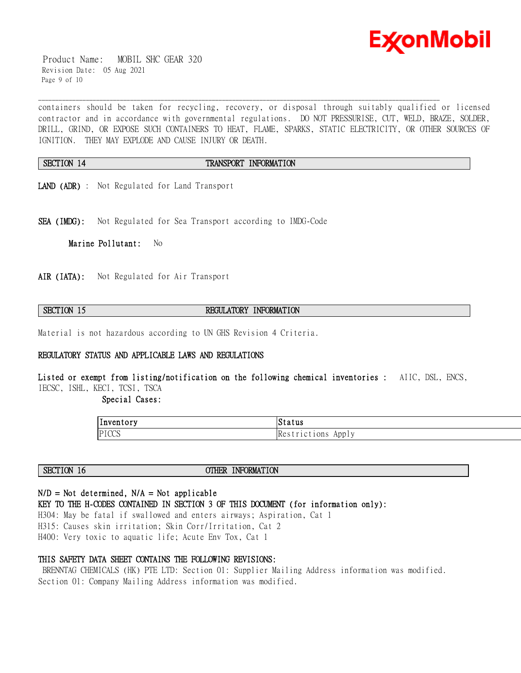

 Product Name: MOBIL SHC GEAR 320 Revision Date: 05 Aug 2021 Page 9 of 10

containers should be taken for recycling, recovery, or disposal through suitably qualified or licensed contractor and in accordance with governmental regulations. DO NOT PRESSURISE, CUT, WELD, BRAZE, SOLDER, DRILL, GRIND, OR EXPOSE SUCH CONTAINERS TO HEAT, FLAME, SPARKS, STATIC ELECTRICITY, OR OTHER SOURCES OF IGNITION. THEY MAY EXPLODE AND CAUSE INJURY OR DEATH.

# **SECTION 14 TRANSPORT INFORMATION**

\_\_\_\_\_\_\_\_\_\_\_\_\_\_\_\_\_\_\_\_\_\_\_\_\_\_\_\_\_\_\_\_\_\_\_\_\_\_\_\_\_\_\_\_\_\_\_\_\_\_\_\_\_\_\_\_\_\_\_\_\_\_\_\_\_\_\_\_\_\_\_\_\_\_\_\_\_\_\_\_\_\_\_\_\_\_\_\_\_\_\_\_\_\_\_\_\_\_\_\_\_\_\_\_\_\_\_\_\_\_\_\_\_\_\_\_\_\_

- **LAND (ADR)** : Not Regulated for Land Transport
- **SEA (IMDG):** Not Regulated for Sea Transport according to IMDG-Code

**Marine Pollutant:** No

**AIR (IATA):** Not Regulated for Air Transport

# **SECTION 15 REGULATORY INFORMATION**

Material is not hazardous according to UN GHS Revision 4 Criteria.

# **REGULATORY STATUS AND APPLICABLE LAWS AND REGULATIONS**

**Listed or exempt from listing/notification on the following chemical inventories :** AIIC, DSL, ENCS, IECSC, ISHL, KECI, TCSI, TSCA

 **Special Cases:** 

| . .<br> Inventory | Status                              |
|-------------------|-------------------------------------|
| PICCS             | Re <sub>o</sub><br>1Ct10ns<br>App I |

**SECTION 16 OTHER INFORMATION** 

# **N/D = Not determined, N/A = Not applicable**

**KEY TO THE H-CODES CONTAINED IN SECTION 3 OF THIS DOCUMENT (for information only):**

H304: May be fatal if swallowed and enters airways; Aspiration, Cat 1 H315: Causes skin irritation; Skin Corr/Irritation, Cat 2 H400: Very toxic to aquatic life; Acute Env Tox, Cat 1

### **THIS SAFETY DATA SHEET CONTAINS THE FOLLOWING REVISIONS:**

BRENNTAG CHEMICALS (HK) PTE LTD: Section 01: Supplier Mailing Address information was modified. Section 01: Company Mailing Address information was modified.